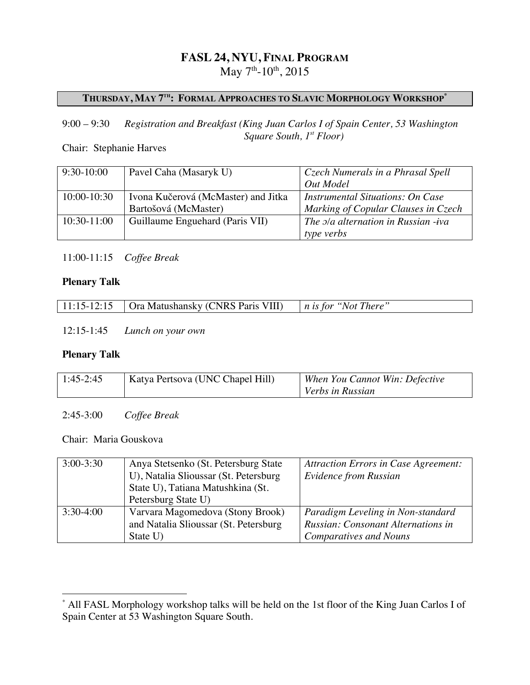# **FASL 24, NYU, FINAL PROGRAM**

May  $7<sup>th</sup> - 10<sup>th</sup>$ , 2015

# **THURSDAY, MAY 7TH: FORMAL APPROACHES TO SLAVIC MORPHOLOGY WORKSHOP\***

### 9:00 – 9:30 *Registration and Breakfast (King Juan Carlos I of Spain Center, 53 Washington Square South, 1st Floor)*

### Chair: Stephanie Harves

| $9:30-10:00$  | Pavel Caha (Masaryk U)              | Czech Numerals in a Phrasal Spell          |
|---------------|-------------------------------------|--------------------------------------------|
|               |                                     | Out Model                                  |
| 10:00-10:30   | Ivona Kučerová (McMaster) and Jitka | <b>Instrumental Situations: On Case</b>    |
|               | Bartošová (McMaster)                | Marking of Copular Clauses in Czech        |
| $10:30-11:00$ | Guillaume Enguehard (Paris VII)     | The <i>pla alternation</i> in Russian -iva |
|               |                                     | type verbs                                 |

11:00-11:15 *Coffee Break*

### **Plenary Talk**

|  |  | 11:15-12:15 $\int$ Ora Matushansky (CNRS Paris VIII) $\int$ n is for "Not There" |  |
|--|--|----------------------------------------------------------------------------------|--|
|--|--|----------------------------------------------------------------------------------|--|

12:15-1:45 *Lunch on your own*

#### **Plenary Talk**

| $1:45-2:45$ | Katya Pertsova (UNC Chapel Hill) | When You Cannot Win: Defective |
|-------------|----------------------------------|--------------------------------|
|             |                                  | Verbs in Russian               |

2:45-3:00 *Coffee Break*

### Chair: Maria Gouskova

| $3:00 - 3:30$ | Anya Stetsenko (St. Petersburg State)  | <b>Attraction Errors in Case Agreement:</b> |
|---------------|----------------------------------------|---------------------------------------------|
|               | U), Natalia Slioussar (St. Petersburg) | <b>Evidence from Russian</b>                |
|               | State U), Tatiana Matushkina (St.      |                                             |
|               | Petersburg State U)                    |                                             |
| $3:30-4:00$   | Varvara Magomedova (Stony Brook)       | Paradigm Leveling in Non-standard           |
|               | and Natalia Slioussar (St. Petersburg) | <b>Russian: Consonant Alternations in</b>   |
|               | State U)                               | <b>Comparatives and Nouns</b>               |

All FASL Morphology workshop talks will be held on the 1st floor of the King Juan Carlos I of Spain Center at 53 Washington Square South.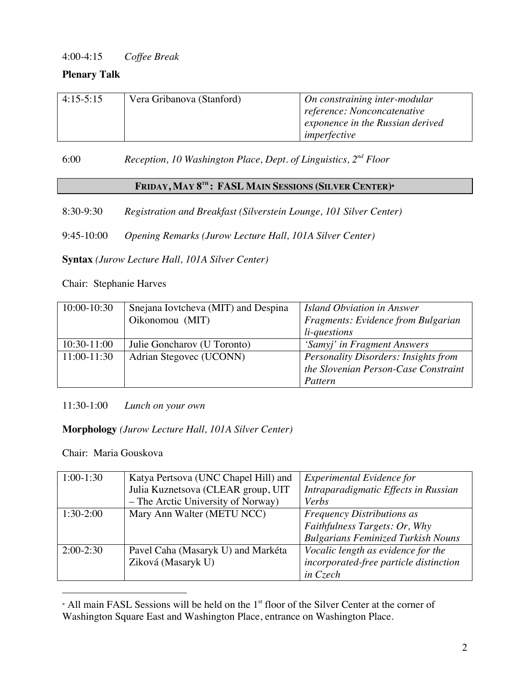# 4:00-4:15 *Coffee Break*

### **Plenary Talk**

| $4:15-5:15$ | Vera Gribanova (Stanford) | On constraining inter-modular    |
|-------------|---------------------------|----------------------------------|
|             |                           | reference: Nonconcatenative      |
|             |                           | exponence in the Russian derived |
|             |                           | imperfective                     |

6:00 *Reception, 10 Washington Place, Dept. of Linguistics, 2nd Floor*

# **FRIDAY, MAY 8TH : FASL MAIN SESSIONS (SILVER CENTER)**<sup>Φ</sup>

8:30-9:30 *Registration and Breakfast (Silverstein Lounge, 101 Silver Center)*

9:45-10:00 *Opening Remarks (Jurow Lecture Hall, 101A Silver Center)*

**Syntax** *(Jurow Lecture Hall, 101A Silver Center)*

Chair: Stephanie Harves

| $10:00 - 10:30$ | Snejana Iovtcheva (MIT) and Despina | Island Obviation in Answer                  |
|-----------------|-------------------------------------|---------------------------------------------|
|                 | Oikonomou (MIT)                     | Fragments: Evidence from Bulgarian          |
|                 |                                     | <i>li-questions</i>                         |
| 10:30-11:00     | Julie Goncharov (U Toronto)         | 'Samyj' in Fragment Answers                 |
| 11:00-11:30     | Adrian Stegovec (UCONN)             | <b>Personality Disorders: Insights from</b> |
|                 |                                     | the Slovenian Person-Case Constraint        |
|                 |                                     | Pattern                                     |

11:30-1:00 *Lunch on your own*

### **Morphology** *(Jurow Lecture Hall, 101A Silver Center)*

Chair: Maria Gouskova

 $\overline{a}$ 

| $1:00-1:30$ | Katya Pertsova (UNC Chapel Hill) and | Experimental Evidence for                 |
|-------------|--------------------------------------|-------------------------------------------|
|             | Julia Kuznetsova (CLEAR group, UIT   | Intraparadigmatic Effects in Russian      |
|             | - The Arctic University of Norway)   | Verbs                                     |
| $1:30-2:00$ | Mary Ann Walter (METU NCC)           | <b>Frequency Distributions as</b>         |
|             |                                      | Faithfulness Targets: Or, Why             |
|             |                                      | <b>Bulgarians Feminized Turkish Nouns</b> |
| $2:00-2:30$ | Pavel Caha (Masaryk U) and Markéta   | Vocalic length as evidence for the        |
|             | Ziková (Masaryk U)                   | incorporated-free particle distinction    |
|             |                                      | in Czech                                  |

• All main FASL Sessions will be held on the 1<sup>st</sup> floor of the Silver Center at the corner of Washington Square East and Washington Place, entrance on Washington Place.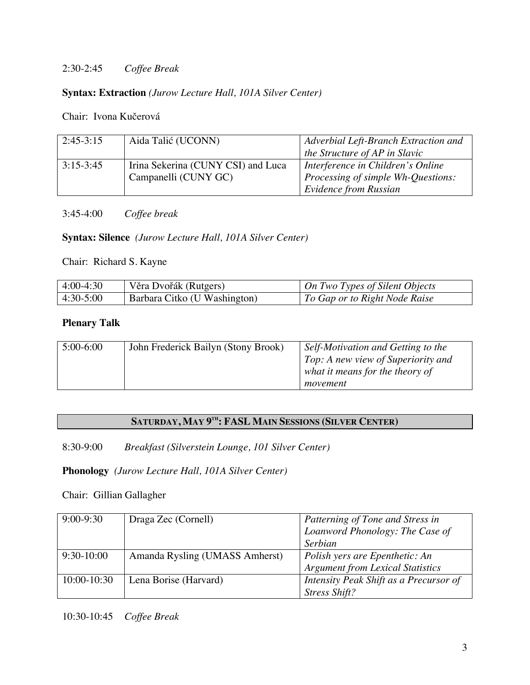### 2:30-2:45 *Coffee Break*

### **Syntax: Extraction** *(Jurow Lecture Hall, 101A Silver Center)*

Chair: Ivona Kučerová

| $2:45-3:15$ | Aida Talić (UCONN)                 | Adverbial Left-Branch Extraction and |
|-------------|------------------------------------|--------------------------------------|
|             |                                    | the Structure of AP in Slavic        |
| $3:15-3:45$ | Irina Sekerina (CUNY CSI) and Luca | Interference in Children's Online    |
|             | Campanelli (CUNY GC)               | Processing of simple Wh-Questions:   |
|             |                                    | <b>Evidence from Russian</b>         |

3:45-4:00 *Coffee break*

**Syntax: Silence** *(Jurow Lecture Hall, 101A Silver Center)*

Chair: Richard S. Kayne

| $ 4:00-4:30 $ | Věra Dvořák (Rutgers)        | On Two Types of Silent Objects |
|---------------|------------------------------|--------------------------------|
| $ 4:30-5:00 $ | Barbara Citko (U Washington) | To Gap or to Right Node Raise  |

#### **Plenary Talk**

| $5:00-6:00$ | John Frederick Bailyn (Stony Brook) | Self-Motivation and Getting to the |
|-------------|-------------------------------------|------------------------------------|
|             |                                     | Top: A new view of Superiority and |
|             |                                     | what it means for the theory of    |
|             |                                     | movement                           |

# **SATURDAY, MAY 9TH: FASL MAIN SESSIONS (SILVER CENTER)**

8:30-9:00 *Breakfast (Silverstein Lounge, 101 Silver Center)*

**Phonology** *(Jurow Lecture Hall, 101A Silver Center)*

Chair: Gillian Gallagher

| $9:00-9:30$     | Draga Zec (Cornell)            | Patterning of Tone and Stress in        |
|-----------------|--------------------------------|-----------------------------------------|
|                 |                                | Loanword Phonology: The Case of         |
|                 |                                | <b>Serbian</b>                          |
| $9:30-10:00$    | Amanda Rysling (UMASS Amherst) | Polish yers are Epenthetic: An          |
|                 |                                | <b>Argument from Lexical Statistics</b> |
| $10:00 - 10:30$ | Lena Borise (Harvard)          | Intensity Peak Shift as a Precursor of  |
|                 |                                | <b>Stress Shift?</b>                    |

10:30-10:45 *Coffee Break*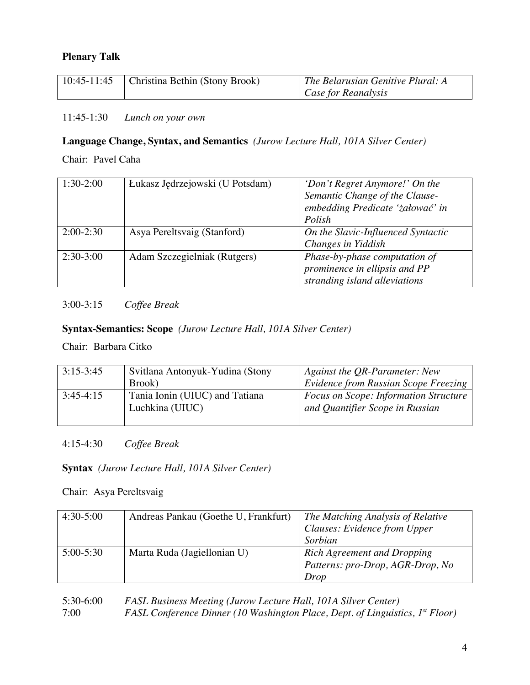### **Plenary Talk**

| 10:45-11:45   Christina Bethin (Stony Brook) | $\vert$ The Belarusian Genitive Plural: A |
|----------------------------------------------|-------------------------------------------|
|                                              | $\vert$ Case for Reanalysis               |

### 11:45-1:30 *Lunch on your own*

# **Language Change, Syntax, and Semantics** *(Jurow Lecture Hall, 101A Silver Center)*

Chair: Pavel Caha

| $1:30-2:00$ | Łukasz Jędrzejowski (U Potsdam) | 'Don't Regret Anymore!' On the<br>Semantic Change of the Clause-<br>embedding Predicate 'załować' in<br>Polish |
|-------------|---------------------------------|----------------------------------------------------------------------------------------------------------------|
| $2:00-2:30$ | Asya Pereltsvaig (Stanford)     | On the Slavic-Influenced Syntactic<br>Changes in Yiddish                                                       |
| $2:30-3:00$ | Adam Szczegielniak (Rutgers)    | Phase-by-phase computation of<br>prominence in ellipsis and PP<br>stranding island alleviations                |

# 3:00-3:15 *Coffee Break*

# **Syntax-Semantics: Scope** *(Jurow Lecture Hall, 101A Silver Center)*

Chair: Barbara Citko

| $3:15-3:45$ | Svitlana Antonyuk-Yudina (Stony                   | Against the QR-Parameter: New                                                   |
|-------------|---------------------------------------------------|---------------------------------------------------------------------------------|
|             | Brook)                                            | Evidence from Russian Scope Freezing                                            |
| $3:45-4:15$ | Tania Ionin (UIUC) and Tatiana<br>Luchkina (UIUC) | <i>Focus on Scope: Information Structure</i><br>and Quantifier Scope in Russian |
|             |                                                   |                                                                                 |

# 4:15-4:30 *Coffee Break*

# **Syntax** *(Jurow Lecture Hall, 101A Silver Center)*

Chair: Asya Pereltsvaig

| $4:30-5:00$ | Andreas Pankau (Goethe U, Frankfurt) | The Matching Analysis of Relative<br><b>Clauses: Evidence from Upper</b><br>Sorbian |
|-------------|--------------------------------------|-------------------------------------------------------------------------------------|
| $5:00-5:30$ | Marta Ruda (Jagiellonian U)          | Rich Agreement and Dropping<br>Patterns: pro-Drop, AGR-Drop, No<br>Drop             |

| $5:30-6:00$ | FASL Business Meeting (Jurow Lecture Hall, 101A Silver Center)                  |
|-------------|---------------------------------------------------------------------------------|
| 7:00        | FASL Conference Dinner (10 Washington Place, Dept. of Linguistics, $I^s$ Floor) |